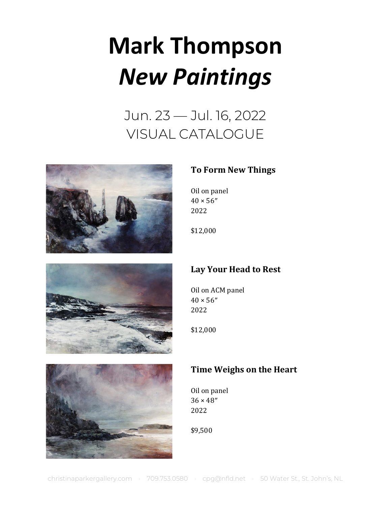# **Mark Thompson** *New Paintings*

# Jun. 23 — Jul. 16, 2022 VISUAL CATALOGUE



#### **To Form New Things**

Oil on panel  $40 \times 56''$ 2022

\$12,000



#### **Lay Your Head to Rest**

Oil on ACM panel  $40 \times 56''$ 2022

\$12,000



#### **Time Weighs on the Heart**

Oil on panel  $36 \times 48''$ 2022

\$9,500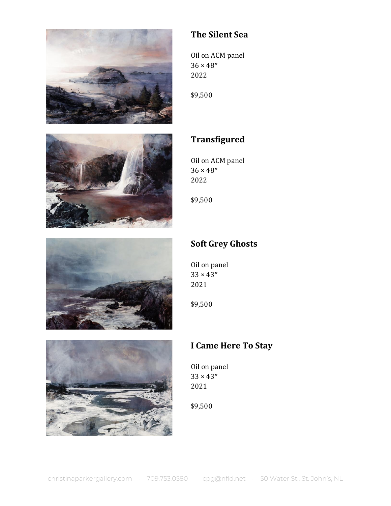

#### **The Silent Sea**

Oil on ACM panel 36 × 48″ 2022

\$9,500

![](_page_1_Picture_4.jpeg)

![](_page_1_Picture_5.jpeg)

![](_page_1_Picture_6.jpeg)

#### **Transfigured**

Oil on ACM panel  $36 \times 48"$ 2022

\$9,500

# **Soft Grey Ghosts**

Oil on panel 33 × 43″ 2021

\$9,500

# **I Came Here To Stay**

Oil on panel  $33 \times 43''$ 2021

\$9,500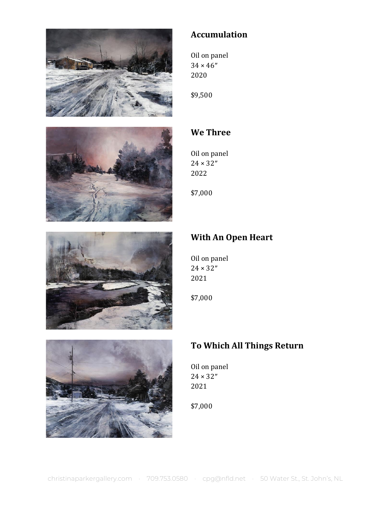![](_page_2_Picture_0.jpeg)

#### **Accumulation**

Oil on panel  $34 \times 46"$ 2020

\$9,500

![](_page_2_Picture_4.jpeg)

![](_page_2_Picture_5.jpeg)

![](_page_2_Picture_6.jpeg)

#### **We Three**

Oil on panel 24 × 32″ 2022

\$7,000

#### **With An Open Heart**

Oil on panel 24 × 32″ 2021

\$7,000

# **To Which All Things Return**

Oil on panel  $24 \times 32"$ 2021

\$7,000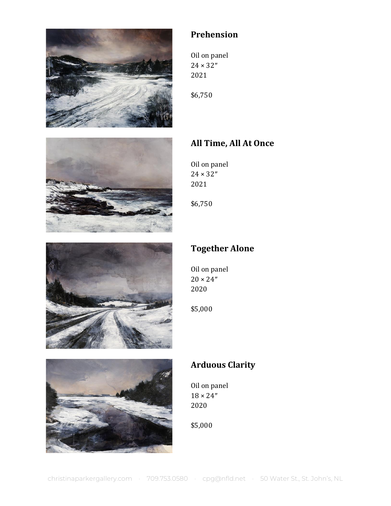![](_page_3_Picture_0.jpeg)

# **Prehension**

Oil on panel 24 × 32″ 2021

\$6,750

![](_page_3_Picture_4.jpeg)

![](_page_3_Picture_5.jpeg)

## **All Time, All At Once**

Oil on panel 24 × 32″ 2021

\$6,750

# **Together Alone**

Oil on panel  $20 \times 24$ " 2020

\$5,000

![](_page_3_Picture_12.jpeg)

# **Arduous Clarity**

Oil on panel  $18 \times 24$ " 2020

\$5,000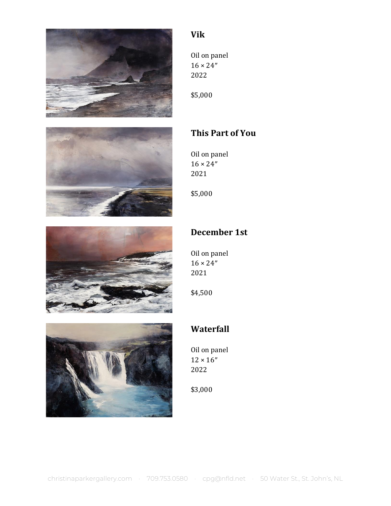![](_page_4_Picture_0.jpeg)

#### **Vik**

Oil on panel  $16 \times 24"$ 2022

\$5,000

# **This Part of You**

Oil on panel  $16 \times 24"$ 2021

\$5,000

## **December 1st**

Oil on panel  $16 \times 24"$ 2021

\$4,500

# **Waterfall**

Oil on panel  $12 \times 16''$ 2022

\$3,000

![](_page_4_Picture_13.jpeg)

![](_page_4_Picture_14.jpeg)

![](_page_4_Picture_15.jpeg)